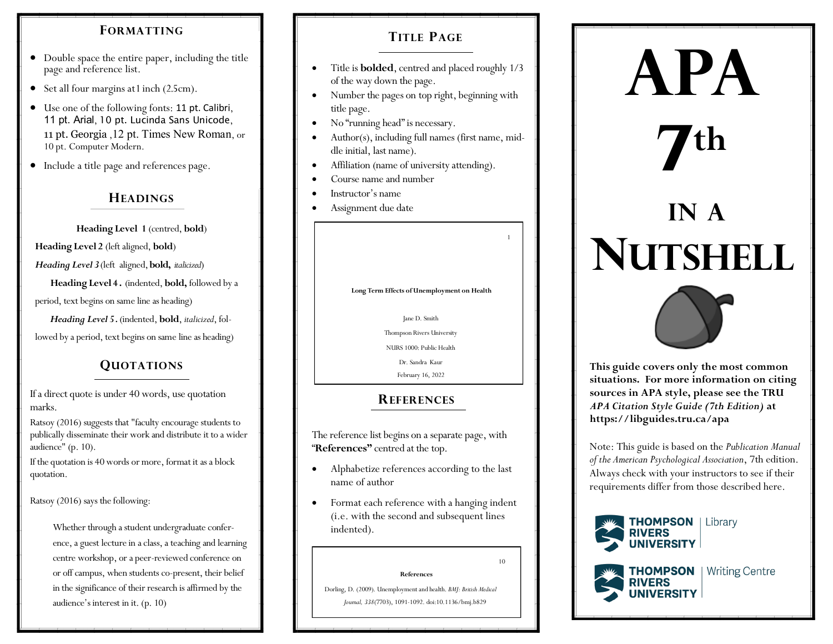# **FORMATTING TITLE PAGE**

- Double space the entire paper, including the title page and reference list.
- Set all four margins at 1 inch (2.5cm).
- Use one of the following fonts: 11 pt. Calibri, 11 pt. Arial, 10 pt. Lucinda Sans Unicode, 11 pt. Georgia ,12 pt. Times New Roman, or 10 pt. Computer Modern.
- Include a title page and references page.

## **HEADINGS**

**Heading Level 1** (centred, **bold**)

**Heading Level 2** (left aligned, **bold**)

*Heading Level 3* (left aligned, **bold,** *italicized*)

**Heading Level 4 .** (indented, **bold,** followed by a

period, text begins on same line as heading)

 *Heading Level 5 .* (indented, **bold**, *italicized*, fol-

lowed by a period, text begins on same line as heading)

# **QUOTATIONS**

If a direct quote is under 40 words, use quotation marks.

Ratsoy (2016) suggests that "faculty encourage students to publically disseminate their work and distribute it to a wider audience" (p. 10).

If the quotation is 40 words or more, format it as a block quotation.

Ratsoy (2016) says the following:

Whether through a student undergraduate conference, a guest lecture in a class, a teaching and learning centre workshop, or a peer-reviewed conference on or off campus, when students co-present, their belief in the significance of their research is affirmed by the audience's interest in it. (p. 10)

- Title is **bolded**, centred and placed roughly 1/3 of the way down the page.
- Number the pages on top right, beginning with title page.
- No "running head" is necessary.
- Author(s), including full names (first name, middle initial, last name).
- Affiliation (name of university attending).
- Course name and number
- Instructor's name
- Assignment due date

#### **Long Term Effects of Unemployment on Health**

1

#### Jane D. Smith

Thompson Rivers University

NURS 1000: Public Health

Dr. Sandra Kaur February 16, 2022

# **REFERENCES**

The reference list begins on a separate page, with "**References"** centred at the top.

- Alphabetize references according to the last name of author
- Format each reference with a hanging indent (i.e. with the second and subsequent lines indented).

**References** 

10

 Dorling, D. (2009). Unemployment and health. *BMJ: British Medical Journal, 338*(7703), 1091-1092. doi:10.1136/bmj.b829

# **7 th IN A NUTSHELL**

**APA**



**This guide covers only the most common situations. For more information on citing sources in APA style, please see the TRU**  *APA Citation Style Guide (7th Edition)* **at https://libguides.tru.ca/apa**

Note: This guide is based on the *Publication Manual of the American Psychological Association*, 7th edition. Always check with your instructors to see if their requirements differ from those described here.